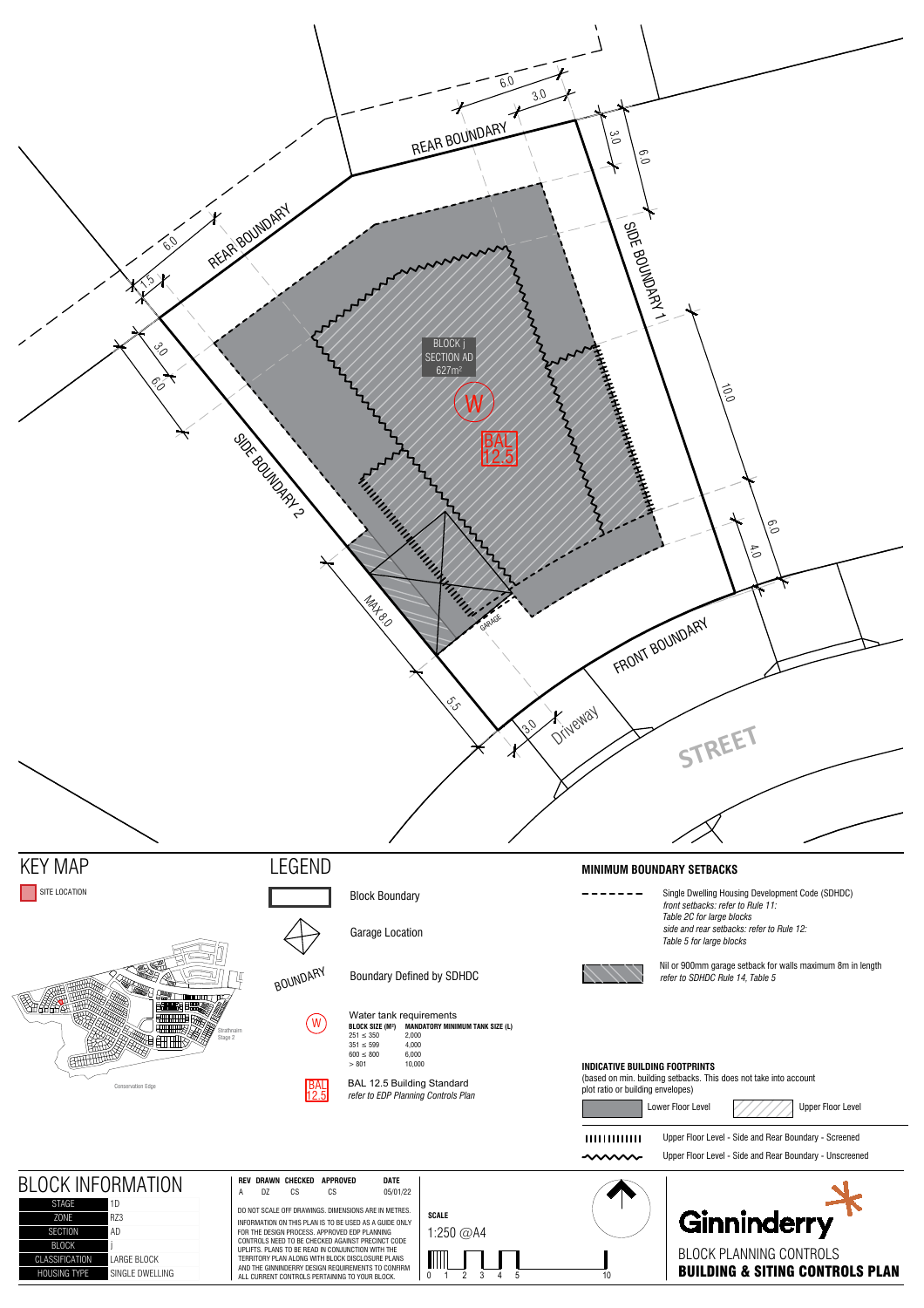